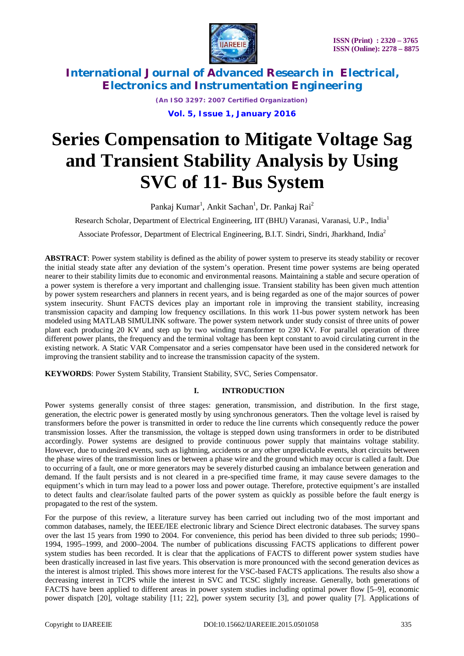



*(An ISO 3297: 2007 Certified Organization)*

**Vol. 5, Issue 1, January 2016**

# **Series Compensation to Mitigate Voltage Sag and Transient Stability Analysis by Using SVC of 11- Bus System**

Pankaj Kumar<sup>1</sup>, Ankit Sachan<sup>1</sup>, Dr. Pankaj Rai<sup>2</sup>

Research Scholar, Department of Electrical Engineering, IIT (BHU) Varanasi, Varanasi, U.P., India<sup>1</sup>

Associate Professor, Department of Electrical Engineering, B.I.T. Sindri, Sindri, Jharkhand, India<sup>2</sup>

**ABSTRACT**: Power system stability is defined as the ability of power system to preserve its steady stability or recover the initial steady state after any deviation of the system's operation. Present time power systems are being operated nearer to their stability limits due to economic and environmental reasons. Maintaining a stable and secure operation of a power system is therefore a very important and challenging issue. Transient stability has been given much attention by power system researchers and planners in recent years, and is being regarded as one of the major sources of power system insecurity. Shunt FACTS devices play an important role in improving the transient stability, increasing transmission capacity and damping low frequency oscillations. In this work 11-bus power system network has been modeled using MATLAB SIMULINK software. The power system network under study consist of three units of power plant each producing 20 KV and step up by two winding transformer to 230 KV. For parallel operation of three different power plants, the frequency and the terminal voltage has been kept constant to avoid circulating current in the existing network. A Static VAR Compensator and a series compensator have been used in the considered network for improving the transient stability and to increase the transmission capacity of the system.

**KEYWORDS**: Power System Stability, Transient Stability, SVC, Series Compensator.

### **I. INTRODUCTION**

Power systems generally consist of three stages: generation, transmission, and distribution. In the first stage, generation, the electric power is generated mostly by using synchronous generators. Then the voltage level is raised by transformers before the power is transmitted in order to reduce the line currents which consequently reduce the power transmission losses. After the transmission, the voltage is stepped down using transformers in order to be distributed accordingly. Power systems are designed to provide continuous power supply that maintains voltage stability. However, due to undesired events, such as lightning, accidents or any other unpredictable events, short circuits between the phase wires of the transmission lines or between a phase wire and the ground which may occur is called a fault. Due to occurring of a fault, one or more generators may be severely disturbed causing an imbalance between generation and demand. If the fault persists and is not cleared in a pre-specified time frame, it may cause severe damages to the equipment's which in turn may lead to a power loss and power outage. Therefore, protective equipment's are installed to detect faults and clear/isolate faulted parts of the power system as quickly as possible before the fault energy is propagated to the rest of the system.

For the purpose of this review, a literature survey has been carried out including two of the most important and common databases, namely, the IEEE/IEE electronic library and Science Direct electronic databases. The survey spans over the last 15 years from 1990 to 2004. For convenience, this period has been divided to three sub periods; 1990– 1994, 1995–1999, and 2000–2004. The number of publications discussing FACTS applications to different power system studies has been recorded. It is clear that the applications of FACTS to different power system studies have been drastically increased in last five years. This observation is more pronounced with the second generation devices as the interest is almost tripled. This shows more interest for the VSC-based FACTS applications. The results also show a decreasing interest in TCPS while the interest in SVC and TCSC slightly increase. Generally, both generations of FACTS have been applied to different areas in power system studies including optimal power flow [5–9], economic power dispatch [20], voltage stability [11; 22], power system security [3], and power quality [7]. Applications of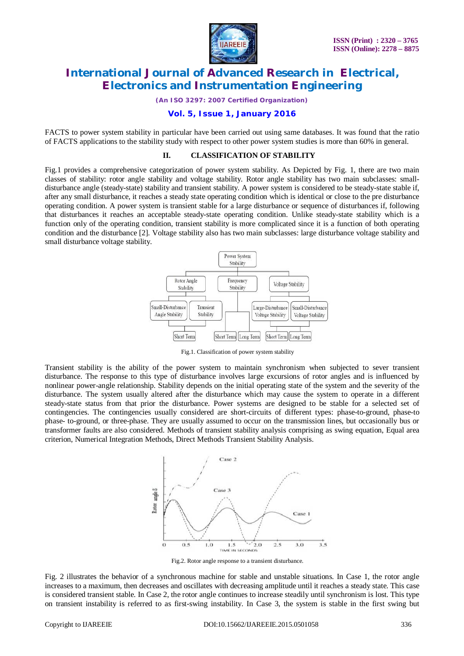

*(An ISO 3297: 2007 Certified Organization)*

#### **Vol. 5, Issue 1, January 2016**

FACTS to power system stability in particular have been carried out using same databases. It was found that the ratio of FACTS applications to the stability study with respect to other power system studies is more than 60% in general.

#### **II. CLASSIFICATION OF STABILITY**

Fig.1 provides a comprehensive categorization of power system stability. As Depicted by Fig. 1, there are two main classes of stability: rotor angle stability and voltage stability. Rotor angle stability has two main subclasses: smalldisturbance angle (steady-state) stability and transient stability. A power system is considered to be steady-state stable if, after any small disturbance, it reaches a steady state operating condition which is identical or close to the pre disturbance operating condition. A power system is transient stable for a large disturbance or sequence of disturbances if, following that disturbances it reaches an acceptable steady-state operating condition. Unlike steady-state stability which is a function only of the operating condition, transient stability is more complicated since it is a function of both operating condition and the disturbance [2]. Voltage stability also has two main subclasses: large disturbance voltage stability and small disturbance voltage stability.



Fig.1. Classification of power system stability

Transient stability is the ability of the power system to maintain synchronism when subjected to sever transient disturbance. The response to this type of disturbance involves large excursions of rotor angles and is influenced by nonlinear power-angle relationship. Stability depends on the initial operating state of the system and the severity of the disturbance. The system usually altered after the disturbance which may cause the system to operate in a different steady-state status from that prior the disturbance. Power systems are designed to be stable for a selected set of contingencies. The contingencies usually considered are short-circuits of different types: phase-to-ground, phase-to phase- to-ground, or three-phase. They are usually assumed to occur on the transmission lines, but occasionally bus or transformer faults are also considered. Methods of transient stability analysis comprising as swing equation, Equal area criterion, Numerical Integration Methods, Direct Methods Transient Stability Analysis.



Fig.2. Rotor angle response to a transient disturbance*.*

Fig. 2 illustrates the behavior of a synchronous machine for stable and unstable situations. In Case 1, the rotor angle increases to a maximum, then decreases and oscillates with decreasing amplitude until it reaches a steady state. This case is considered transient stable. In Case 2, the rotor angle continues to increase steadily until synchronism is lost. This type on transient instability is referred to as first-swing instability. In Case 3, the system is stable in the first swing but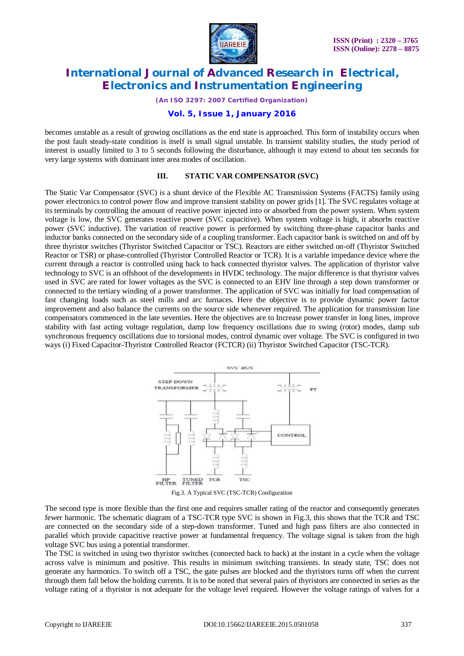

*(An ISO 3297: 2007 Certified Organization)*

#### **Vol. 5, Issue 1, January 2016**

becomes unstable as a result of growing oscillations as the end state is approached. This form of instability occurs when the post fault steady-state condition is itself is small signal unstable. In transient stability studies, the study period of interest is usually limited to 3 to 5 seconds following the disturbance, although it may extend to about ten seconds for very large systems with dominant inter area modes of oscillation.

#### **III. STATIC VAR COMPENSATOR (SVC)**

The Static Var Compensator (SVC) is a shunt device of the Flexible AC Transmission Systems (FACTS) family using power electronics to control power flow and improve transient stability on power grids [1]. The SVC regulates voltage at its terminals by controlling the amount of reactive power injected into or absorbed from the power system. When system voltage is low, the SVC generates reactive power (SVC capacitive). When system voltage is high, it absorbs reactive power (SVC inductive). The variation of reactive power is performed by switching three-phase capacitor banks and inductor banks connected on the secondary side of a coupling transformer. Each capacitor bank is switched on and off by three thyristor switches (Thyristor Switched Capacitor or TSC). Reactors are either switched on-off (Thyristor Switched Reactor or TSR) or phase-controlled (Thyristor Controlled Reactor or TCR). It is a variable impedance device where the current through a reactor is controlled using back to back connected thyristor valves. The application of thyristor valve technology to SVC is an offshoot of the developments in HVDC technology. The major difference is that thyristor valves used in SVC are rated for lower voltages as the SVC is connected to an EHV line through a step down transformer or connected to the tertiary winding of a power transformer. The application of SVC was initially for load compensation of fast changing loads such as steel mills and arc furnaces. Here the objective is to provide dynamic power factor improvement and also balance the currents on the source side whenever required. The application for transmission line compensators commenced in the late seventies. Here the objectives are to Increase power transfer in long lines, improve stability with fast acting voltage regulation, damp low frequency oscillations due to swing (rotor) modes, damp sub synchronous frequency oscillations due to torsional modes, control dynamic over voltage. The SVC is configured in two ways (i) Fixed Capacitor-Thyristor Controlled Reactor (FCTCR) (ii) Thyristor Switched Capacitor (TSC-TCR).



Fig.3. A Typical SVC (TSC-TCR) Configuration

The second type is more flexible than the first one and requires smaller rating of the reactor and consequently generates fewer harmonic. The schematic diagram of a TSC-TCR type SVC is shown in Fig.3, this shows that the TCR and TSC are connected on the secondary side of a step-down transformer. Tuned and high pass filters are also connected in parallel which provide capacitive reactive power at fundamental frequency. The voltage signal is taken from the high voltage SVC bus using a potential transformer.

The TSC is switched in using two thyristor switches (connected back to back) at the instant in a cycle when the voltage across valve is minimum and positive. This results in minimum switching transients. In steady state, TSC does not generate any harmonics. To switch off a TSC, the gate pulses are blocked and the thyristors turns off when the current through them fall below the holding currents. It is to be noted that several pairs of thyristors are connected in series as the voltage rating of a thyristor is not adequate for the voltage level required. However the voltage ratings of valves for a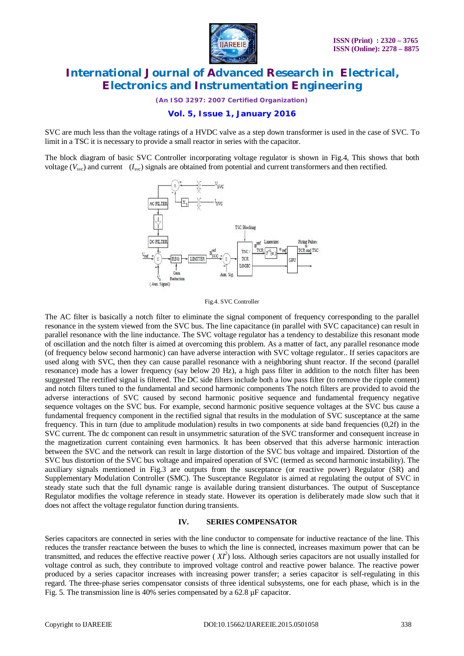

*(An ISO 3297: 2007 Certified Organization)*

### **Vol. 5, Issue 1, January 2016**

SVC are much less than the voltage ratings of a HVDC valve as a step down transformer is used in the case of SVC. To limit in a TSC it is necessary to provide a small reactor in series with the capacitor.

The block diagram of basic SVC Controller incorporating voltage regulator is shown in Fig.4, This shows that both voltage ( $V_{\text{avc}}$ ) and current ( $I_{\text{avc}}$ ) signals are obtained from potential and current transformers and then rectified.



Fig.4. SVC Controller

The AC filter is basically a notch filter to eliminate the signal component of frequency corresponding to the parallel resonance in the system viewed from the SVC bus. The line capacitance (in parallel with SVC capacitance) can result in parallel resonance with the line inductance. The SVC voltage regulator has a tendency to destabilize this resonant mode of oscillation and the notch filter is aimed at overcoming this problem. As a matter of fact, any parallel resonance mode (of frequency below second harmonic) can have adverse interaction with SVC voltage regulator.. If series capacitors are used along with SVC, then they can cause parallel resonance with a neighboring shunt reactor. If the second (parallel resonance) mode has a lower frequency (say below 20 Hz), a high pass filter in addition to the notch filter has been suggested The rectified signal is filtered. The DC side filters include both a low pass filter (to remove the ripple content) and notch filters tuned to the fundamental and second harmonic components The notch filters are provided to avoid the adverse interactions of SVC caused by second harmonic positive sequence and fundamental frequency negative sequence voltages on the SVC bus. For example, second harmonic positive sequence voltages at the SVC bus cause a fundamental frequency component in the rectified signal that results in the modulation of SVC susceptance at the same frequency. This in turn (due to amplitude modulation) results in two components at side band frequencies (0,2f) in the SVC current. The dc component can result in unsymmetric saturation of the SVC transformer and consequent increase in the magnetization current containing even harmonics. It has been observed that this adverse harmonic interaction between the SVC and the network can result in large distortion of the SVC bus voltage and impaired. Distortion of the SVC bus distortion of the SVC bus voltage and impaired operation of SVC (termed as second harmonic instability). The auxiliary signals mentioned in Fig.3 are outputs from the susceptance (or reactive power) Regulator (SR) and Supplementary Modulation Controller (SMC). The Susceptance Regulator is aimed at regulating the output of SVC in steady state such that the full dynamic range is available during transient disturbances. The output of Susceptance Regulator modifies the voltage reference in steady state. However its operation is deliberately made slow such that it does not affect the voltage regulator function during transients.

#### **IV. SERIES COMPENSATOR**

Series capacitors are connected in series with the line conductor to compensate for inductive reactance of the line. This reduces the transfer reactance between the buses to which the line is connected, increases maximum power that can be transmitted, and reduces the effective reactive power  $(XI^2)$  loss. Although series capacitors are not usually installed for voltage control as such, they contribute to improved voltage control and reactive power balance. The reactive power produced by a series capacitor increases with increasing power transfer; a series capacitor is self-regulating in this regard. The three-phase series compensator consists of three identical subsystems, one for each phase, which is in the Fig. 5. The transmission line is 40% series compensated by a 62.8  $\mu$ F capacitor.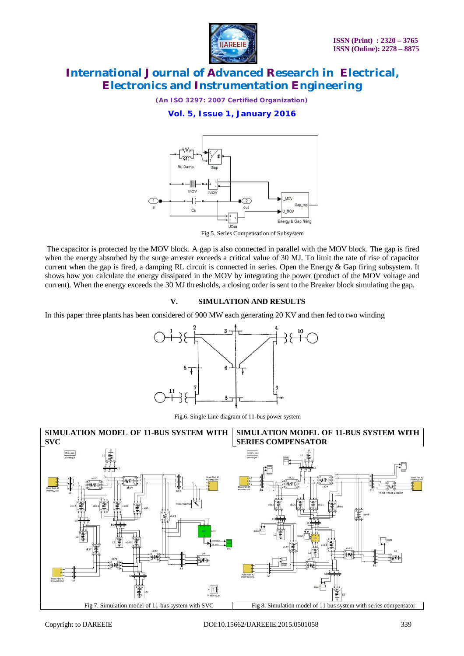

*(An ISO 3297: 2007 Certified Organization)*

**Vol. 5, Issue 1, January 2016**



Fig.5. Series Compensation of Subsystem

The capacitor is protected by the MOV block. A gap is also connected in parallel with the MOV block. The gap is fired when the energy absorbed by the surge arrester exceeds a critical value of 30 MJ. To limit the rate of rise of capacitor current when the gap is fired, a damping RL circuit is connected in series. Open the Energy & Gap firing subsystem. It shows how you calculate the energy dissipated in the MOV by integrating the power (product of the MOV voltage and current). When the energy exceeds the 30 MJ thresholds, a closing order is sent to the Breaker block simulating the gap.

### **V. SIMULATION AND RESULTS**

In this paper three plants has been considered of 900 MW each generating 20 KV and then fed to two winding



Fig.6. Single Line diagram of 11-bus power system

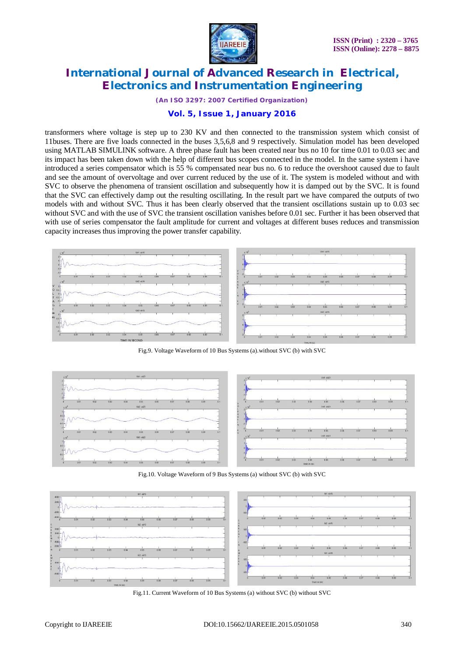

*(An ISO 3297: 2007 Certified Organization)*

#### **Vol. 5, Issue 1, January 2016**

transformers where voltage is step up to 230 KV and then connected to the transmission system which consist of 11buses. There are five loads connected in the buses 3,5,6,8 and 9 respectively. Simulation model has been developed using MATLAB SIMULINK software. A three phase fault has been created near bus no 10 for time 0.01 to 0.03 sec and its impact has been taken down with the help of different bus scopes connected in the model. In the same system i have introduced a series compensator which is 55 % compensated near bus no. 6 to reduce the overshoot caused due to fault and see the amount of overvoltage and over current reduced by the use of it. The system is modeled without and with SVC to observe the phenomena of transient oscillation and subsequently how it is damped out by the SVC. It is found that the SVC can effectively damp out the resulting oscillating. In the result part we have compared the outputs of two models with and without SVC. Thus it has been clearly observed that the transient oscillations sustain up to 0.03 sec without SVC and with the use of SVC the transient oscillation vanishes before 0.01 sec. Further it has been observed that with use of series compensator the fault amplitude for current and voltages at different buses reduces and transmission capacity increases thus improving the power transfer capability.



Fig.9. Voltage Waveform of 10 Bus Systems (a).without SVC (b) with SVC



Fig.10. Voltage Waveform of 9 Bus Systems (a) without SVC (b) with SVC



Fig.11. Current Waveform of 10 Bus Systems (a) without SVC (b) without SVC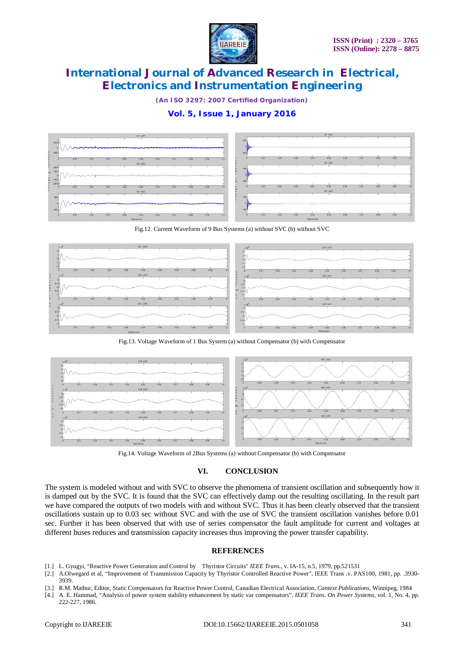

*(An ISO 3297: 2007 Certified Organization)*

### **Vol. 5, Issue 1, January 2016**



Fig.12. Current Waveform of 9 Bus Systems (a) without SVC (b) without SVC



Fig.13. Voltage Waveform of 1 Bus System (a) without Compensator (b) with Compensator



Fig.14. Voltage Waveform of 2Bus Systems (a) without Compensator (b) with Compensator

### **VI. CONCLUSION**

The system is modeled without and with SVC to observe the phenomena of transient oscillation and subsequently how it is damped out by the SVC. It is found that the SVC can effectively damp out the resulting oscillating. In the result part we have compared the outputs of two models with and without SVC. Thus it has been clearly observed that the transient oscillations sustain up to 0.03 sec without SVC and with the use of SVC the transient oscillation vanishes before 0.01 sec. Further it has been observed that with use of series compensator the fault amplitude for current and voltages at different buses reduces and transmission capacity increases thus improving the power transfer capability.

#### **REFERENCES**

- [1.] L. Gyugyi, "Reactive Power Generation and Control by Thyristor Circuits" *IEEE Trans.,* v. IA-15, n.5, 1979, pp.521531
- [2.] A.Olwegard et al, "Improvement of Transmission Capacity by Thyristor Controlled Reactive Power", IEEE Trans .v. PAS100, 1981, pp. .3930- 3939.
- [3.] R.M. Mathur, Editor, Static Compensators for Reactive Power Control, Canadian Electrical Association, *Cantext Publications*, Winnipeg, 1984
- [4.] A. E. Hammad, "Analysis of power system stability enhancement by static var compensators", *IEEE Trans. On Power Systems*, vol. 1, No. 4, pp. 222-227, 1986.